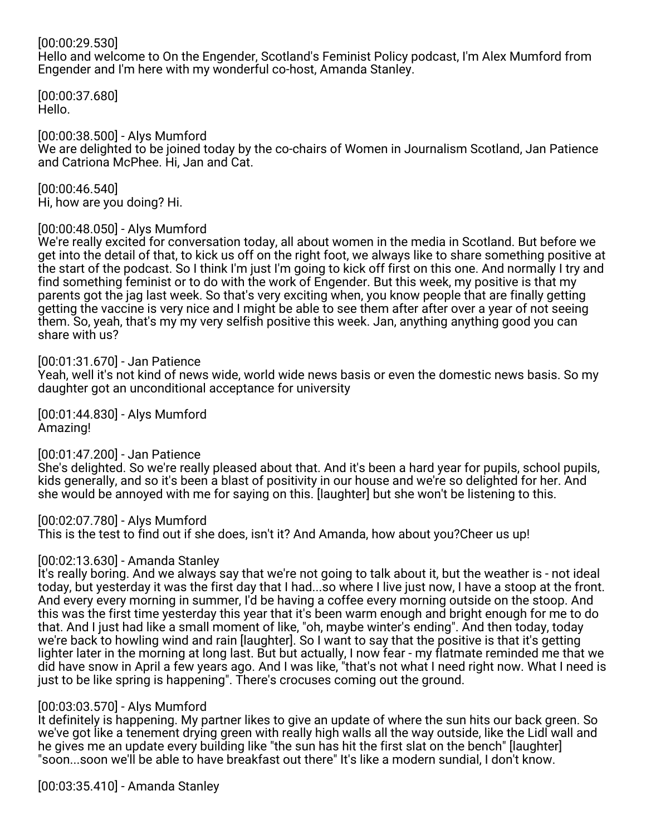## [00:00:29.530]

Hello and welcome to On the Engender, Scotland's Feminist Policy podcast, I'm Alex Mumford from Engender and I'm here with my wonderful co-host, Amanda Stanley.

[00:00:37.680] Hello.

[00:00:38.500] - Alys Mumford We are delighted to be joined today by the co-chairs of Women in Journalism Scotland, Jan Patience and Catriona McPhee. Hi, Jan and Cat.

[00:00:46.540] Hi, how are you doing? Hi.

#### [00:00:48.050] - Alys Mumford

We're really excited for conversation today, all about women in the media in Scotland. But before we get into the detail of that, to kick us off on the right foot, we always like to share something positive at the start of the podcast. So I think I'm just I'm going to kick off first on this one. And normally I try and find something feminist or to do with the work of Engender. But this week, my positive is that my parents got the jag last week. So that's very exciting when, you know people that are finally getting getting the vaccine is very nice and I might be able to see them after after over a year of not seeing them. So, yeah, that's my my very selfish positive this week. Jan, anything anything good you can share with us?

#### [00:01:31.670] - Jan Patience

Yeah, well it's not kind of news wide, world wide news basis or even the domestic news basis. So my daughter got an unconditional acceptance for university

[00:01:44.830] - Alys Mumford Amazing!

## [00:01:47.200] - Jan Patience

She's delighted. So we're really pleased about that. And it's been a hard year for pupils, school pupils, kids generally, and so it's been a blast of positivity in our house and we're so delighted for her. And she would be annoyed with me for saying on this. [laughter] but she won't be listening to this.

[00:02:07.780] - Alys Mumford This is the test to find out if she does, isn't it? And Amanda, how about you?Cheer us up!

## [00:02:13.630] - Amanda Stanley

It's really boring. And we always say that we're not going to talk about it, but the weather is - not ideal today, but yesterday it was the first day that I had...so where I live just now, I have a stoop at the front. And every every morning in summer, I'd be having a coffee every morning outside on the stoop. And this was the first time yesterday this year that it's been warm enough and bright enough for me to do that. And I just had like a small moment of like, "oh, maybe winter's ending". And then today, today we're back to howling wind and rain [laughter]. So I want to say that the positive is that it's getting lighter later in the morning at long last. But but actually, I now fear - my flatmate reminded me that we did have snow in April a few years ago. And I was like, "that's not what I need right now. What I need is just to be like spring is happening". There's crocuses coming out the ground.

## [00:03:03.570] - Alys Mumford

It definitely is happening. My partner likes to give an update of where the sun hits our back green. So we've got like a tenement drying green with really high walls all the way outside, like the Lidl wall and he gives me an update every building like "the sun has hit the first slat on the bench" [laughter] "soon...soon we'll be able to have breakfast out there" It's like a modern sundial, I don't know.

[00:03:35.410] - Amanda Stanley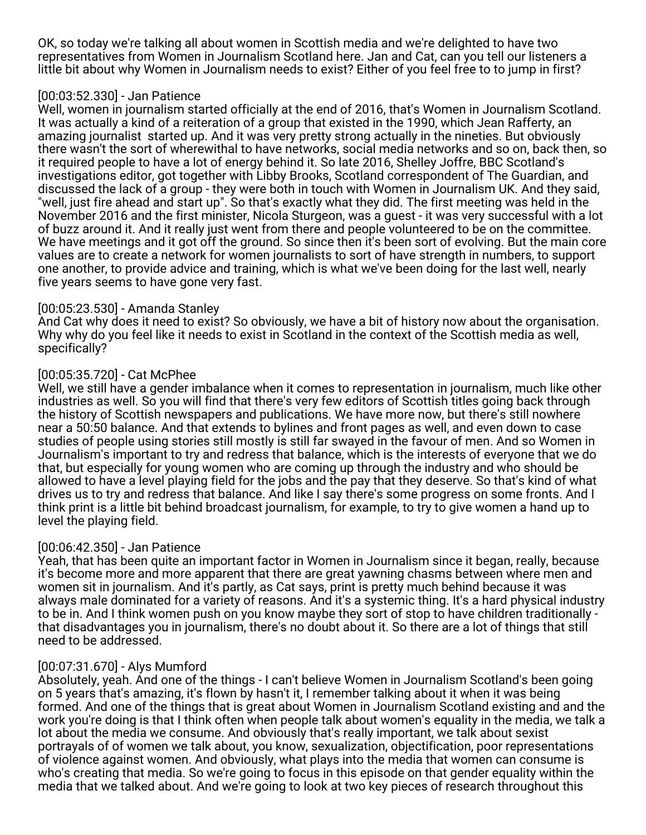OK, so today we're talking all about women in Scottish media and we're delighted to have two representatives from Women in Journalism Scotland here. Jan and Cat, can you tell our listeners a little bit about why Women in Journalism needs to exist? Either of you feel free to to jump in first?

#### [00:03:52.330] - Jan Patience

Well, women in journalism started officially at the end of 2016, that's Women in Journalism Scotland. It was actually a kind of a reiteration of a group that existed in the 1990, which Jean Rafferty, an amazing journalist started up. And it was very pretty strong actually in the nineties. But obviously there wasn't the sort of wherewithal to have networks, social media networks and so on, back then, so it required people to have a lot of energy behind it. So late 2016, Shelley Joffre, BBC Scotland's investigations editor, got together with Libby Brooks, Scotland correspondent of The Guardian, and discussed the lack of a group - they were both in touch with Women in Journalism UK. And they said, "well, just fire ahead and start up". So that's exactly what they did. The first meeting was held in the November 2016 and the first minister, Nicola Sturgeon, was a guest - it was very successful with a lot of buzz around it. And it really just went from there and people volunteered to be on the committee. We have meetings and it got off the ground. So since then it's been sort of evolving. But the main core values are to create a network for women journalists to sort of have strength in numbers, to support one another, to provide advice and training, which is what we've been doing for the last well, nearly five years seems to have gone very fast.

## [00:05:23.530] - Amanda Stanley

And Cat why does it need to exist? So obviously, we have a bit of history now about the organisation. Why why do you feel like it needs to exist in Scotland in the context of the Scottish media as well, specifically?

# [00:05:35.720] - Cat McPhee

Well, we still have a gender imbalance when it comes to representation in journalism, much like other industries as well. So you will find that there's very few editors of Scottish titles going back through the history of Scottish newspapers and publications. We have more now, but there's still nowhere near a 50:50 balance. And that extends to bylines and front pages as well, and even down to case studies of people using stories still mostly is still far swayed in the favour of men. And so Women in Journalism's important to try and redress that balance, which is the interests of everyone that we do that, but especially for young women who are coming up through the industry and who should be allowed to have a level playing field for the jobs and the pay that they deserve. So that's kind of what drives us to try and redress that balance. And like I say there's some progress on some fronts. And I think print is a little bit behind broadcast journalism, for example, to try to give women a hand up to level the playing field.

## [00:06:42.350] - Jan Patience

Yeah, that has been quite an important factor in Women in Journalism since it began, really, because it's become more and more apparent that there are great yawning chasms between where men and women sit in journalism. And it's partly, as Cat says, print is pretty much behind because it was always male dominated for a variety of reasons. And it's a systemic thing. It's a hard physical industry to be in. And I think women push on you know maybe they sort of stop to have children traditionally that disadvantages you in journalism, there's no doubt about it. So there are a lot of things that still need to be addressed.

## [00:07:31.670] - Alys Mumford

Absolutely, yeah. And one of the things - I can't believe Women in Journalism Scotland's been going on 5 years that's amazing, it's flown by hasn't it, I remember talking about it when it was being formed. And one of the things that is great about Women in Journalism Scotland existing and and the work you're doing is that I think often when people talk about women's equality in the media, we talk a lot about the media we consume. And obviously that's really important, we talk about sexist portrayals of of women we talk about, you know, sexualization, objectification, poor representations of violence against women. And obviously, what plays into the media that women can consume is who's creating that media. So we're going to focus in this episode on that gender equality within the media that we talked about. And we're going to look at two key pieces of research throughout this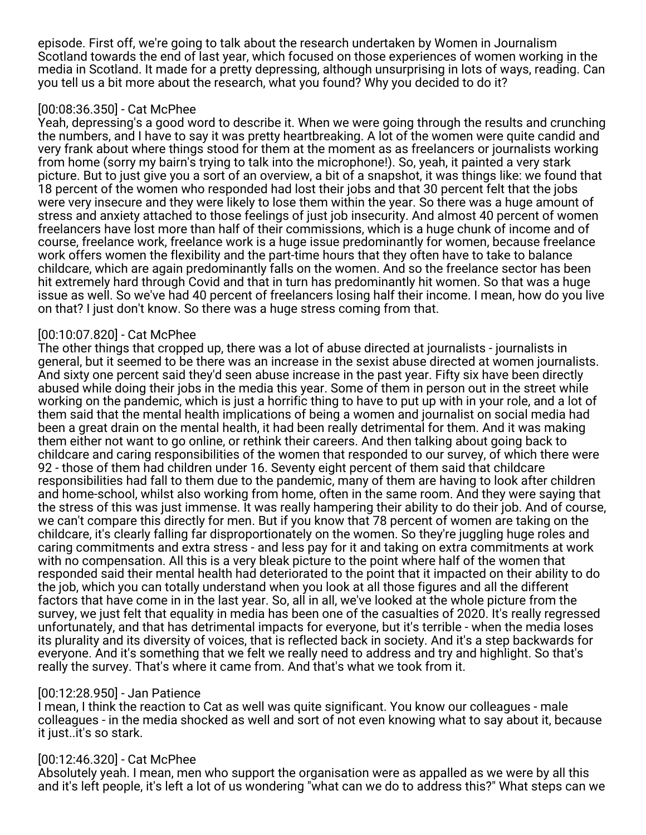episode. First off, we're going to talk about the research undertaken by Women in Journalism Scotland towards the end of last year, which focused on those experiences of women working in the media in Scotland. It made for a pretty depressing, although unsurprising in lots of ways, reading. Can you tell us a bit more about the research, what you found? Why you decided to do it?

## [00:08:36.350] - Cat McPhee

Yeah, depressing's a good word to describe it. When we were going through the results and crunching the numbers, and I have to say it was pretty heartbreaking. A lot of the women were quite candid and very frank about where things stood for them at the moment as as freelancers or journalists working from home (sorry my bairn's trying to talk into the microphone!). So, yeah, it painted a very stark picture. But to just give you a sort of an overview, a bit of a snapshot, it was things like: we found that 18 percent of the women who responded had lost their jobs and that 30 percent felt that the jobs were very insecure and they were likely to lose them within the year. So there was a huge amount of stress and anxiety attached to those feelings of just job insecurity. And almost 40 percent of women freelancers have lost more than half of their commissions, which is a huge chunk of income and of course, freelance work, freelance work is a huge issue predominantly for women, because freelance work offers women the flexibility and the part-time hours that they often have to take to balance childcare, which are again predominantly falls on the women. And so the freelance sector has been hit extremely hard through Covid and that in turn has predominantly hit women. So that was a huge issue as well. So we've had 40 percent of freelancers losing half their income. I mean, how do you live on that? I just don't know. So there was a huge stress coming from that.

# [00:10:07.820] - Cat McPhee

The other things that cropped up, there was a lot of abuse directed at journalists - journalists in general, but it seemed to be there was an increase in the sexist abuse directed at women journalists. And sixty one percent said they'd seen abuse increase in the past year. Fifty six have been directly abused while doing their jobs in the media this year. Some of them in person out in the street while working on the pandemic, which is just a horrific thing to have to put up with in your role, and a lot of them said that the mental health implications of being a women and journalist on social media had been a great drain on the mental health, it had been really detrimental for them. And it was making them either not want to go online, or rethink their careers. And then talking about going back to childcare and caring responsibilities of the women that responded to our survey, of which there were 92 - those of them had children under 16. Seventy eight percent of them said that childcare responsibilities had fall to them due to the pandemic, many of them are having to look after children and home-school, whilst also working from home, often in the same room. And they were saying that the stress of this was just immense. It was really hampering their ability to do their job. And of course, we can't compare this directly for men. But if you know that 78 percent of women are taking on the childcare, it's clearly falling far disproportionately on the women. So they're juggling huge roles and caring commitments and extra stress - and less pay for it and taking on extra commitments at work with no compensation. All this is a very bleak picture to the point where half of the women that responded said their mental health had deteriorated to the point that it impacted on their ability to do the job, which you can totally understand when you look at all those figures and all the different factors that have come in in the last year. So, all in all, we've looked at the whole picture from the survey, we just felt that equality in media has been one of the casualties of 2020. It's really regressed unfortunately, and that has detrimental impacts for everyone, but it's terrible - when the media loses its plurality and its diversity of voices, that is reflected back in society. And it's a step backwards for everyone. And it's something that we felt we really need to address and try and highlight. So that's really the survey. That's where it came from. And that's what we took from it.

## [00:12:28.950] - Jan Patience

I mean, I think the reaction to Cat as well was quite significant. You know our colleagues - male colleagues - in the media shocked as well and sort of not even knowing what to say about it, because it just..it's so stark.

# [00:12:46.320] - Cat McPhee

Absolutely yeah. I mean, men who support the organisation were as appalled as we were by all this and it's left people, it's left a lot of us wondering "what can we do to address this?" What steps can we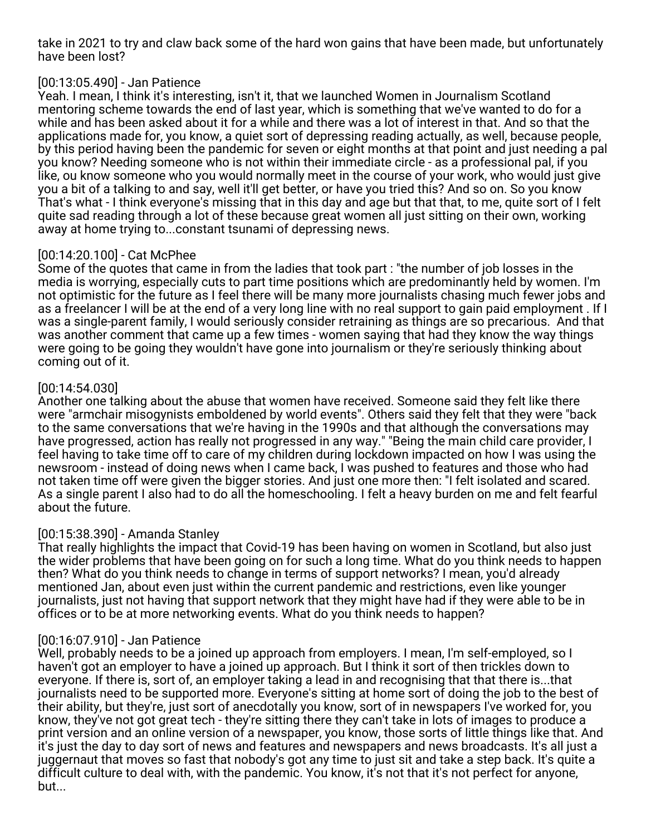take in 2021 to try and claw back some of the hard won gains that have been made, but unfortunately have been lost?

# [00:13:05.490] - Jan Patience

Yeah. I mean, I think it's interesting, isn't it, that we launched Women in Journalism Scotland mentoring scheme towards the end of last year, which is something that we've wanted to do for a while and has been asked about it for a while and there was a lot of interest in that. And so that the applications made for, you know, a quiet sort of depressing reading actually, as well, because people, by this period having been the pandemic for seven or eight months at that point and just needing a pal you know? Needing someone who is not within their immediate circle - as a professional pal, if you like, ou know someone who you would normally meet in the course of your work, who would just give you a bit of a talking to and say, well it'll get better, or have you tried this? And so on. So you know That's what - I think everyone's missing that in this day and age but that that, to me, quite sort of I felt quite sad reading through a lot of these because great women all just sitting on their own, working away at home trying to...constant tsunami of depressing news.

# [00:14:20.100] - Cat McPhee

Some of the quotes that came in from the ladies that took part : "the number of job losses in the media is worrying, especially cuts to part time positions which are predominantly held by women. I'm not optimistic for the future as I feel there will be many more journalists chasing much fewer jobs and as a freelancer I will be at the end of a very long line with no real support to gain paid employment . If I was a single-parent family, I would seriously consider retraining as things are so precarious. And that was another comment that came up a few times - women saying that had they know the way things were going to be going they wouldn't have gone into journalism or they're seriously thinking about coming out of it.

# [00:14:54.030]

Another one talking about the abuse that women have received. Someone said they felt like there were "armchair misogynists emboldened by world events". Others said they felt that they were "back to the same conversations that we're having in the 1990s and that although the conversations may have progressed, action has really not progressed in any way." "Being the main child care provider, I feel having to take time off to care of my children during lockdown impacted on how I was using the newsroom - instead of doing news when I came back, I was pushed to features and those who had not taken time off were given the bigger stories. And just one more then: "I felt isolated and scared. As a single parent I also had to do all the homeschooling. I felt a heavy burden on me and felt fearful about the future.

## [00:15:38.390] - Amanda Stanley

That really highlights the impact that Covid-19 has been having on women in Scotland, but also just the wider problems that have been going on for such a long time. What do you think needs to happen then? What do you think needs to change in terms of support networks? I mean, you'd already mentioned Jan, about even just within the current pandemic and restrictions, even like younger journalists, just not having that support network that they might have had if they were able to be in offices or to be at more networking events. What do you think needs to happen?

## [00:16:07.910] - Jan Patience

Well, probably needs to be a joined up approach from employers. I mean, I'm self-employed, so I haven't got an employer to have a joined up approach. But I think it sort of then trickles down to everyone. If there is, sort of, an employer taking a lead in and recognising that that there is...that journalists need to be supported more. Everyone's sitting at home sort of doing the job to the best of their ability, but they're, just sort of anecdotally you know, sort of in newspapers I've worked for, you know, they've not got great tech - they're sitting there they can't take in lots of images to produce a print version and an online version of a newspaper, you know, those sorts of little things like that. And it's just the day to day sort of news and features and newspapers and news broadcasts. It's all just a juggernaut that moves so fast that nobody's got any time to just sit and take a step back. It's quite a difficult culture to deal with, with the pandemic. You know, it's not that it's not perfect for anyone, but...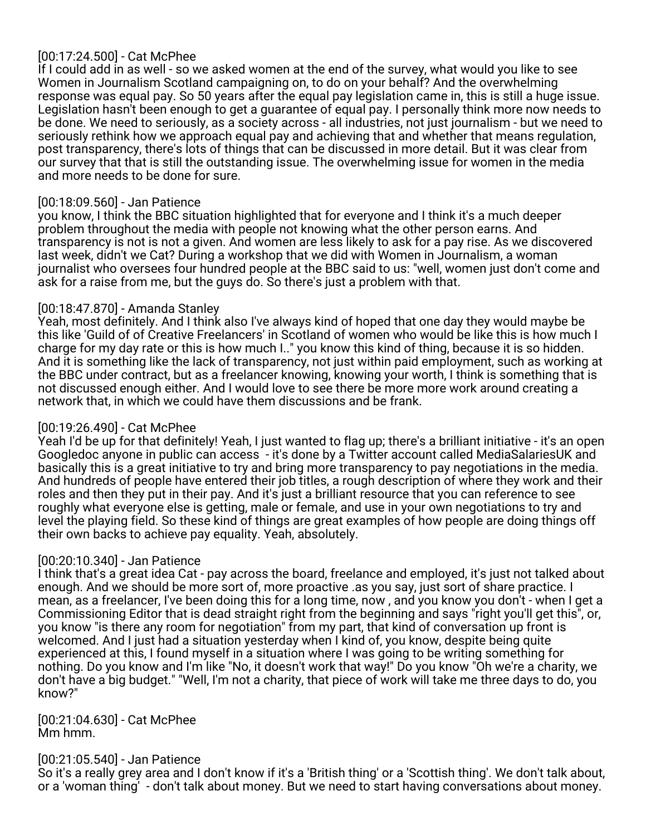# [00:17:24.500] - Cat McPhee

If I could add in as well - so we asked women at the end of the survey, what would you like to see Women in Journalism Scotland campaigning on, to do on your behalf? And the overwhelming response was equal pay. So 50 years after the equal pay legislation came in, this is still a huge issue. Legislation hasn't been enough to get a guarantee of equal pay. I personally think more now needs to be done. We need to seriously, as a society across - all industries, not just journalism - but we need to seriously rethink how we approach equal pay and achieving that and whether that means regulation, post transparency, there's lots of things that can be discussed in more detail. But it was clear from our survey that that is still the outstanding issue. The overwhelming issue for women in the media and more needs to be done for sure.

## [00:18:09.560] - Jan Patience

you know, I think the BBC situation highlighted that for everyone and I think it's a much deeper problem throughout the media with people not knowing what the other person earns. And transparency is not is not a given. And women are less likely to ask for a pay rise. As we discovered last week, didn't we Cat? During a workshop that we did with Women in Journalism, a woman journalist who oversees four hundred people at the BBC said to us: "well, women just don't come and ask for a raise from me, but the guys do. So there's just a problem with that.

#### [00:18:47.870] - Amanda Stanley

Yeah, most definitely. And I think also I've always kind of hoped that one day they would maybe be this like 'Guild of of Creative Freelancers' in Scotland of women who would be like this is how much I charge for my day rate or this is how much I.." you know this kind of thing, because it is so hidden. And it is something like the lack of transparency, not just within paid employment, such as working at the BBC under contract, but as a freelancer knowing, knowing your worth, I think is something that is not discussed enough either. And I would love to see there be more more work around creating a network that, in which we could have them discussions and be frank.

## [00:19:26.490] - Cat McPhee

Yeah I'd be up for that definitely! Yeah, I just wanted to flag up; there's a brilliant initiative - it's an open Googledoc anyone in public can access - it's done by a Twitter account called MediaSalariesUK and basically this is a great initiative to try and bring more transparency to pay negotiations in the media. And hundreds of people have entered their job titles, a rough description of where they work and their roles and then they put in their pay. And it's just a brilliant resource that you can reference to see roughly what everyone else is getting, male or female, and use in your own negotiations to try and level the playing field. So these kind of things are great examples of how people are doing things off their own backs to achieve pay equality. Yeah, absolutely.

## [00:20:10.340] - Jan Patience

I think that's a great idea Cat - pay across the board, freelance and employed, it's just not talked about enough. And we should be more sort of, more proactive .as you say, just sort of share practice. I mean, as a freelancer, I've been doing this for a long time, now , and you know you don't - when I get a Commissioning Editor that is dead straight right from the beginning and says "right you'll get this", or, you know "is there any room for negotiation" from my part, that kind of conversation up front is welcomed. And I just had a situation yesterday when I kind of, you know, despite being quite experienced at this, I found myself in a situation where I was going to be writing something for nothing. Do you know and I'm like "No, it doesn't work that way!" Do you know "Oh we're a charity, we don't have a big budget." "Well, I'm not a charity, that piece of work will take me three days to do, you know?"

[00:21:04.630] - Cat McPhee Mm hmm.

#### [00:21:05.540] - Jan Patience

So it's a really grey area and I don't know if it's a 'British thing' or a 'Scottish thing'. We don't talk about, or a 'woman thing' - don't talk about money. But we need to start having conversations about money.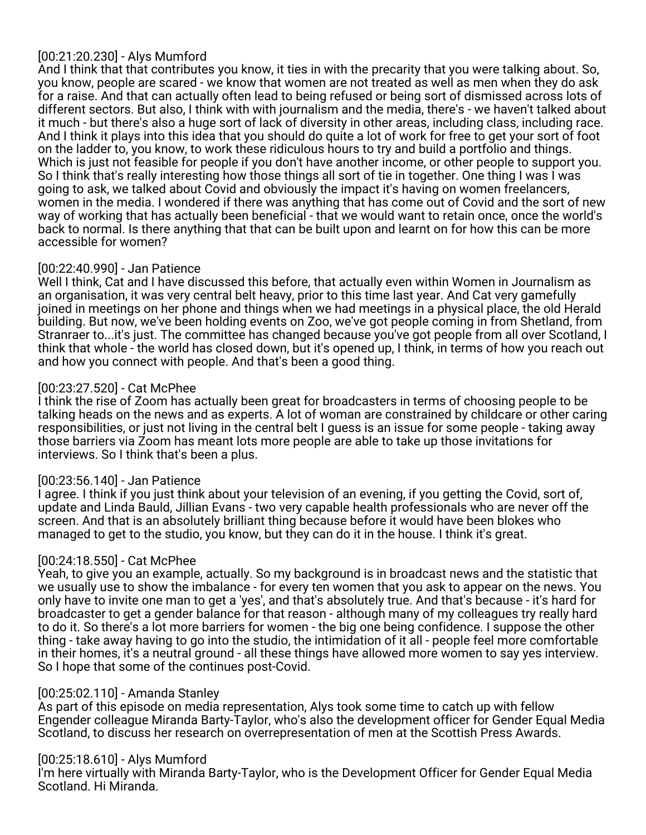# [00:21:20.230] - Alys Mumford

And I think that that contributes you know, it ties in with the precarity that you were talking about. So, you know, people are scared - we know that women are not treated as well as men when they do ask for a raise. And that can actually often lead to being refused or being sort of dismissed across lots of different sectors. But also, I think with with journalism and the media, there's - we haven't talked about it much - but there's also a huge sort of lack of diversity in other areas, including class, including race. And I think it plays into this idea that you should do quite a lot of work for free to get your sort of foot on the ladder to, you know, to work these ridiculous hours to try and build a portfolio and things. Which is just not feasible for people if you don't have another income, or other people to support you. So I think that's really interesting how those things all sort of tie in together. One thing I was I was going to ask, we talked about Covid and obviously the impact it's having on women freelancers, women in the media. I wondered if there was anything that has come out of Covid and the sort of new way of working that has actually been beneficial - that we would want to retain once, once the world's back to normal. Is there anything that that can be built upon and learnt on for how this can be more accessible for women?

# [00:22:40.990] - Jan Patience

Well I think, Cat and I have discussed this before, that actually even within Women in Journalism as an organisation, it was very central belt heavy, prior to this time last year. And Cat very gamefully joined in meetings on her phone and things when we had meetings in a physical place, the old Herald building. But now, we've been holding events on Zoo, we've got people coming in from Shetland, from Stranraer to...it's just. The committee has changed because you've got people from all over Scotland, I think that whole - the world has closed down, but it's opened up, I think, in terms of how you reach out and how you connect with people. And that's been a good thing.

# [00:23:27.520] - Cat McPhee

I think the rise of Zoom has actually been great for broadcasters in terms of choosing people to be talking heads on the news and as experts. A lot of woman are constrained by childcare or other caring responsibilities, or just not living in the central belt I guess is an issue for some people - taking away those barriers via Zoom has meant lots more people are able to take up those invitations for interviews. So I think that's been a plus.

## [00:23:56.140] - Jan Patience

I agree. I think if you just think about your television of an evening, if you getting the Covid, sort of, update and Linda Bauld, Jillian Evans - two very capable health professionals who are never off the screen. And that is an absolutely brilliant thing because before it would have been blokes who managed to get to the studio, you know, but they can do it in the house. I think it's great.

## [00:24:18.550] - Cat McPhee

Yeah, to give you an example, actually. So my background is in broadcast news and the statistic that we usually use to show the imbalance - for every ten women that you ask to appear on the news. You only have to invite one man to get a 'yes', and that's absolutely true. And that's because - it's hard for broadcaster to get a gender balance for that reason - although many of my colleagues try really hard to do it. So there's a lot more barriers for women - the big one being confidence. I suppose the other thing - take away having to go into the studio, the intimidation of it all - people feel more comfortable in their homes, it's a neutral ground - all these things have allowed more women to say yes interview. So I hope that some of the continues post-Covid.

## [00:25:02.110] - Amanda Stanley

As part of this episode on media representation, Alys took some time to catch up with fellow Engender colleague Miranda Barty-Taylor, who's also the development officer for Gender Equal Media Scotland, to discuss her research on overrepresentation of men at the Scottish Press Awards.

## [00:25:18.610] - Alys Mumford

I'm here virtually with Miranda Barty-Taylor, who is the Development Officer for Gender Equal Media Scotland. Hi Miranda.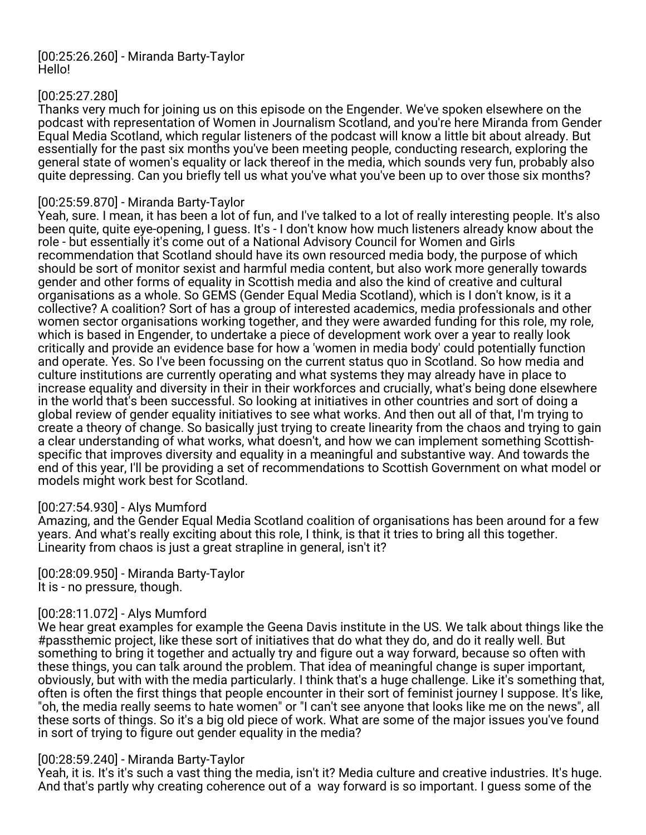#### [00:25:26.260] - Miranda Barty-Taylor Hello!

# [00:25:27.280]

Thanks very much for joining us on this episode on the Engender. We've spoken elsewhere on the podcast with representation of Women in Journalism Scotland, and you're here Miranda from Gender Equal Media Scotland, which regular listeners of the podcast will know a little bit about already. But essentially for the past six months you've been meeting people, conducting research, exploring the general state of women's equality or lack thereof in the media, which sounds very fun, probably also quite depressing. Can you briefly tell us what you've what you've been up to over those six months?

# [00:25:59.870] - Miranda Barty-Taylor

Yeah, sure. I mean, it has been a lot of fun, and I've talked to a lot of really interesting people. It's also been quite, quite eye-opening, I guess. It's - I don't know how much listeners already know about the role - but essentially it's come out of a National Advisory Council for Women and Girls recommendation that Scotland should have its own resourced media body, the purpose of which should be sort of monitor sexist and harmful media content, but also work more generally towards gender and other forms of equality in Scottish media and also the kind of creative and cultural organisations as a whole. So GEMS (Gender Equal Media Scotland), which is I don't know, is it a collective? A coalition? Sort of has a group of interested academics, media professionals and other women sector organisations working together, and they were awarded funding for this role, my role, which is based in Engender, to undertake a piece of development work over a year to really look critically and provide an evidence base for how a 'women in media body' could potentially function and operate. Yes. So I've been focussing on the current status quo in Scotland. So how media and culture institutions are currently operating and what systems they may already have in place to increase equality and diversity in their in their workforces and crucially, what's being done elsewhere in the world that's been successful. So looking at initiatives in other countries and sort of doing a global review of gender equality initiatives to see what works. And then out all of that, I'm trying to create a theory of change. So basically just trying to create linearity from the chaos and trying to gain a clear understanding of what works, what doesn't, and how we can implement something Scottishspecific that improves diversity and equality in a meaningful and substantive way. And towards the end of this year, I'll be providing a set of recommendations to Scottish Government on what model or models might work best for Scotland.

## [00:27:54.930] - Alys Mumford

Amazing, and the Gender Equal Media Scotland coalition of organisations has been around for a few years. And what's really exciting about this role, I think, is that it tries to bring all this together. Linearity from chaos is just a great strapline in general, isn't it?

[00:28:09.950] - Miranda Barty-Taylor It is - no pressure, though.

## [00:28:11.072] - Alys Mumford

We hear great examples for example the Geena Davis institute in the US. We talk about things like the #passthemic project, like these sort of initiatives that do what they do, and do it really well. But something to bring it together and actually try and figure out a way forward, because so often with these things, you can talk around the problem. That idea of meaningful change is super important, obviously, but with with the media particularly. I think that's a huge challenge. Like it's something that, often is often the first things that people encounter in their sort of feminist journey I suppose. It's like, "oh, the media really seems to hate women" or "I can't see anyone that looks like me on the news", all these sorts of things. So it's a big old piece of work. What are some of the major issues you've found in sort of trying to figure out gender equality in the media?

# [00:28:59.240] - Miranda Barty-Taylor

Yeah, it is. It's it's such a vast thing the media, isn't it? Media culture and creative industries. It's huge. And that's partly why creating coherence out of a way forward is so important. I guess some of the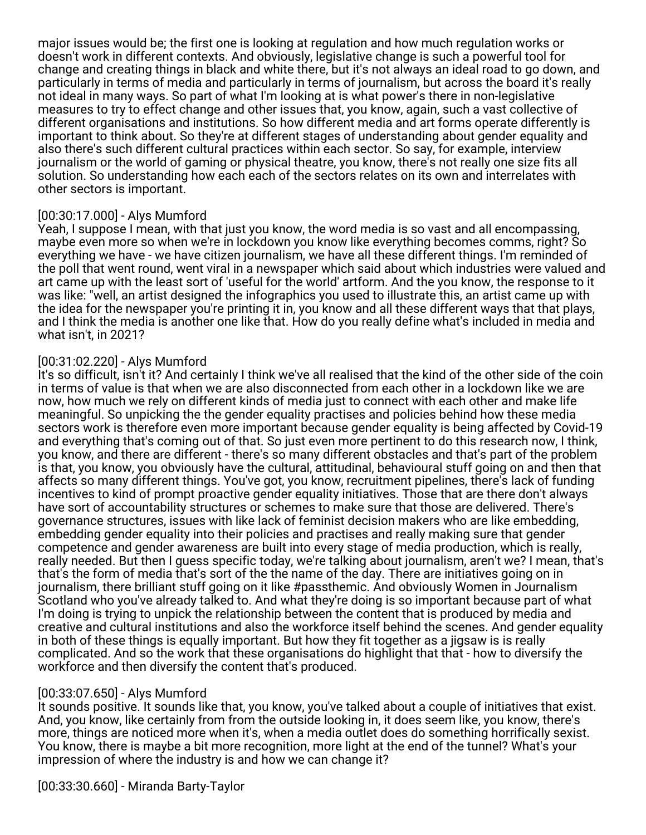major issues would be; the first one is looking at regulation and how much regulation works or doesn't work in different contexts. And obviously, legislative change is such a powerful tool for change and creating things in black and white there, but it's not always an ideal road to go down, and particularly in terms of media and particularly in terms of journalism, but across the board it's really not ideal in many ways. So part of what I'm looking at is what power's there in non-legislative measures to try to effect change and other issues that, you know, again, such a vast collective of different organisations and institutions. So how different media and art forms operate differently is important to think about. So they're at different stages of understanding about gender equality and also there's such different cultural practices within each sector. So say, for example, interview journalism or the world of gaming or physical theatre, you know, there's not really one size fits all solution. So understanding how each each of the sectors relates on its own and interrelates with other sectors is important.

#### [00:30:17.000] - Alys Mumford

Yeah, I suppose I mean, with that just you know, the word media is so vast and all encompassing, maybe even more so when we're in lockdown you know like everything becomes comms, right? So everything we have - we have citizen journalism, we have all these different things. I'm reminded of the poll that went round, went viral in a newspaper which said about which industries were valued and art came up with the least sort of 'useful for the world' artform. And the you know, the response to it was like: "well, an artist designed the infographics you used to illustrate this, an artist came up with the idea for the newspaper you're printing it in, you know and all these different ways that that plays, and I think the media is another one like that. How do you really define what's included in media and what isn't, in 2021?

## [00:31:02.220] - Alys Mumford

It's so difficult, isn't it? And certainly I think we've all realised that the kind of the other side of the coin in terms of value is that when we are also disconnected from each other in a lockdown like we are now, how much we rely on different kinds of media just to connect with each other and make life meaningful. So unpicking the the gender equality practises and policies behind how these media sectors work is therefore even more important because gender equality is being affected by Covid-19 and everything that's coming out of that. So just even more pertinent to do this research now, I think, you know, and there are different - there's so many different obstacles and that's part of the problem is that, you know, you obviously have the cultural, attitudinal, behavioural stuff going on and then that affects so many different things. You've got, you know, recruitment pipelines, there's lack of funding incentives to kind of prompt proactive gender equality initiatives. Those that are there don't always have sort of accountability structures or schemes to make sure that those are delivered. There's governance structures, issues with like lack of feminist decision makers who are like embedding, embedding gender equality into their policies and practises and really making sure that gender competence and gender awareness are built into every stage of media production, which is really, really needed. But then I guess specific today, we're talking about journalism, aren't we? I mean, that's that's the form of media that's sort of the the name of the day. There are initiatives going on in journalism, there brilliant stuff going on it like #passthemic. And obviously Women in Journalism Scotland who you've already talked to. And what they're doing is so important because part of what I'm doing is trying to unpick the relationship between the content that is produced by media and creative and cultural institutions and also the workforce itself behind the scenes. And gender equality in both of these things is equally important. But how they fit together as a jigsaw is is really complicated. And so the work that these organisations do highlight that that - how to diversify the workforce and then diversify the content that's produced.

## [00:33:07.650] - Alys Mumford

It sounds positive. It sounds like that, you know, you've talked about a couple of initiatives that exist. And, you know, like certainly from from the outside looking in, it does seem like, you know, there's more, things are noticed more when it's, when a media outlet does do something horrifically sexist. You know, there is maybe a bit more recognition, more light at the end of the tunnel? What's your impression of where the industry is and how we can change it?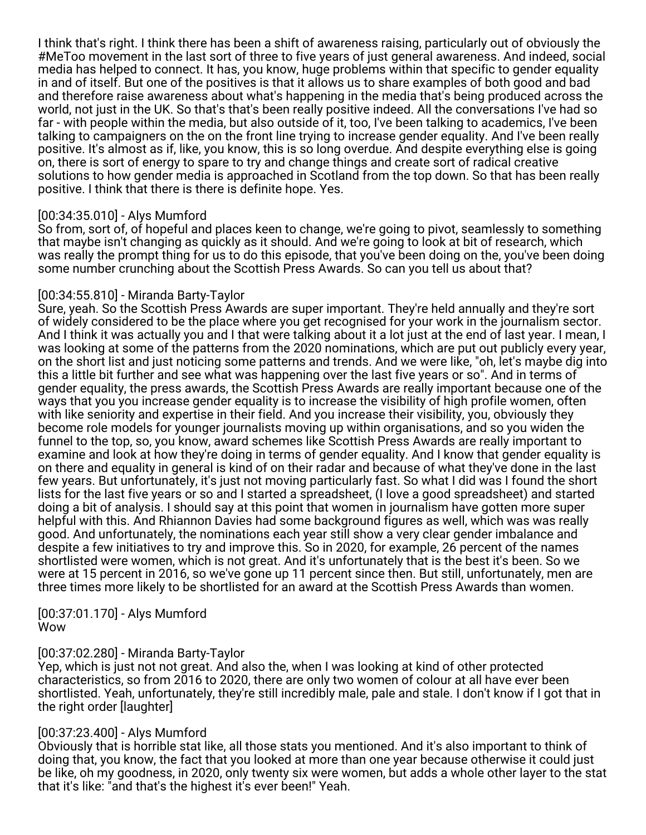I think that's right. I think there has been a shift of awareness raising, particularly out of obviously the #MeToo movement in the last sort of three to five years of just general awareness. And indeed, social media has helped to connect. It has, you know, huge problems within that specific to gender equality in and of itself. But one of the positives is that it allows us to share examples of both good and bad and therefore raise awareness about what's happening in the media that's being produced across the world, not just in the UK. So that's that's been really positive indeed. All the conversations I've had so far - with people within the media, but also outside of it, too, I've been talking to academics, I've been talking to campaigners on the on the front line trying to increase gender equality. And I've been really positive. It's almost as if, like, you know, this is so long overdue. And despite everything else is going on, there is sort of energy to spare to try and change things and create sort of radical creative solutions to how gender media is approached in Scotland from the top down. So that has been really positive. I think that there is there is definite hope. Yes.

#### [00:34:35.010] - Alys Mumford

So from, sort of, of hopeful and places keen to change, we're going to pivot, seamlessly to something that maybe isn't changing as quickly as it should. And we're going to look at bit of research, which was really the prompt thing for us to do this episode, that you've been doing on the, you've been doing some number crunching about the Scottish Press Awards. So can you tell us about that?

#### [00:34:55.810] - Miranda Barty-Taylor

Sure, yeah. So the Scottish Press Awards are super important. They're held annually and they're sort of widely considered to be the place where you get recognised for your work in the journalism sector. And I think it was actually you and I that were talking about it a lot just at the end of last year. I mean, I was looking at some of the patterns from the 2020 nominations, which are put out publicly every year, on the short list and just noticing some patterns and trends. And we were like, "oh, let's maybe dig into this a little bit further and see what was happening over the last five years or so". And in terms of gender equality, the press awards, the Scottish Press Awards are really important because one of the ways that you you increase gender equality is to increase the visibility of high profile women, often with like seniority and expertise in their field. And you increase their visibility, you, obviously they become role models for younger journalists moving up within organisations, and so you widen the funnel to the top, so, you know, award schemes like Scottish Press Awards are really important to examine and look at how they're doing in terms of gender equality. And I know that gender equality is on there and equality in general is kind of on their radar and because of what they've done in the last few years. But unfortunately, it's just not moving particularly fast. So what I did was I found the short lists for the last five years or so and I started a spreadsheet, (I love a good spreadsheet) and started doing a bit of analysis. I should say at this point that women in journalism have gotten more super helpful with this. And Rhiannon Davies had some background figures as well, which was was really good. And unfortunately, the nominations each year still show a very clear gender imbalance and despite a few initiatives to try and improve this. So in 2020, for example, 26 percent of the names shortlisted were women, which is not great. And it's unfortunately that is the best it's been. So we were at 15 percent in 2016, so we've gone up 11 percent since then. But still, unfortunately, men are three times more likely to be shortlisted for an award at the Scottish Press Awards than women.

[00:37:01.170] - Alys Mumford Wow

## [00:37:02.280] - Miranda Barty-Taylor

Yep, which is just not not great. And also the, when I was looking at kind of other protected characteristics, so from 2016 to 2020, there are only two women of colour at all have ever been shortlisted. Yeah, unfortunately, they're still incredibly male, pale and stale. I don't know if I got that in the right order [laughter]

#### [00:37:23.400] - Alys Mumford

Obviously that is horrible stat like, all those stats you mentioned. And it's also important to think of doing that, you know, the fact that you looked at more than one year because otherwise it could just be like, oh my goodness, in 2020, only twenty six were women, but adds a whole other layer to the stat that it's like: "and that's the highest it's ever been!" Yeah.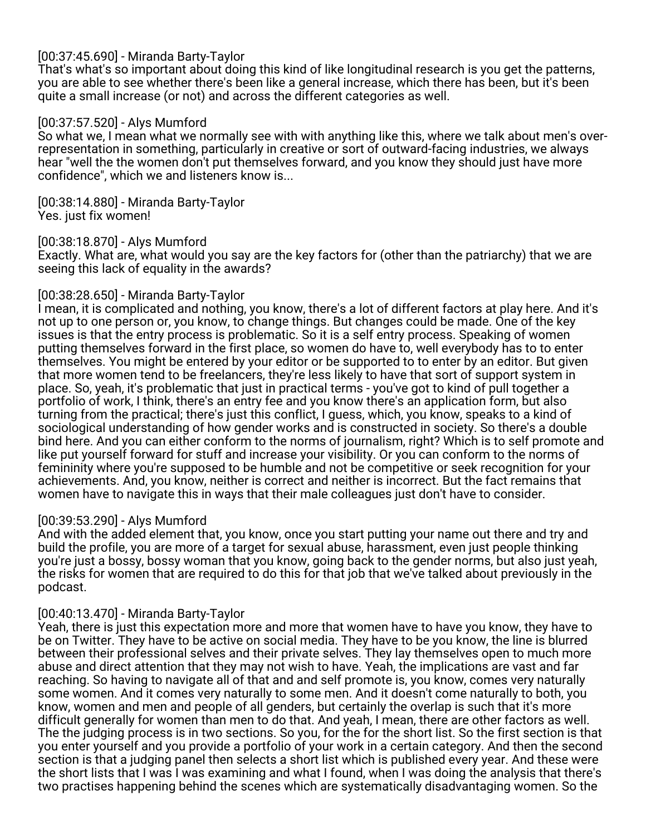## [00:37:45.690] - Miranda Barty-Taylor

That's what's so important about doing this kind of like longitudinal research is you get the patterns, you are able to see whether there's been like a general increase, which there has been, but it's been quite a small increase (or not) and across the different categories as well.

## [00:37:57.520] - Alys Mumford

So what we, I mean what we normally see with with anything like this, where we talk about men's overrepresentation in something, particularly in creative or sort of outward-facing industries, we always hear "well the the women don't put themselves forward, and you know they should just have more confidence", which we and listeners know is...

[00:38:14.880] - Miranda Barty-Taylor Yes. just fix women!

#### [00:38:18.870] - Alys Mumford

Exactly. What are, what would you say are the key factors for (other than the patriarchy) that we are seeing this lack of equality in the awards?

#### [00:38:28.650] - Miranda Barty-Taylor

I mean, it is complicated and nothing, you know, there's a lot of different factors at play here. And it's not up to one person or, you know, to change things. But changes could be made. One of the key issues is that the entry process is problematic. So it is a self entry process. Speaking of women putting themselves forward in the first place, so women do have to, well everybody has to to enter themselves. You might be entered by your editor or be supported to to enter by an editor. But given that more women tend to be freelancers, they're less likely to have that sort of support system in place. So, yeah, it's problematic that just in practical terms - you've got to kind of pull together a portfolio of work, I think, there's an entry fee and you know there's an application form, but also turning from the practical; there's just this conflict, I guess, which, you know, speaks to a kind of sociological understanding of how gender works and is constructed in society. So there's a double bind here. And you can either conform to the norms of journalism, right? Which is to self promote and like put yourself forward for stuff and increase your visibility. Or you can conform to the norms of femininity where you're supposed to be humble and not be competitive or seek recognition for your achievements. And, you know, neither is correct and neither is incorrect. But the fact remains that women have to navigate this in ways that their male colleagues just don't have to consider.

#### [00:39:53.290] - Alys Mumford

And with the added element that, you know, once you start putting your name out there and try and build the profile, you are more of a target for sexual abuse, harassment, even just people thinking you're just a bossy, bossy woman that you know, going back to the gender norms, but also just yeah, the risks for women that are required to do this for that job that we've talked about previously in the podcast.

## [00:40:13.470] - Miranda Barty-Taylor

Yeah, there is just this expectation more and more that women have to have you know, they have to be on Twitter. They have to be active on social media. They have to be you know, the line is blurred between their professional selves and their private selves. They lay themselves open to much more abuse and direct attention that they may not wish to have. Yeah, the implications are vast and far reaching. So having to navigate all of that and and self promote is, you know, comes very naturally some women. And it comes very naturally to some men. And it doesn't come naturally to both, you know, women and men and people of all genders, but certainly the overlap is such that it's more difficult generally for women than men to do that. And yeah, I mean, there are other factors as well. The the judging process is in two sections. So you, for the for the short list. So the first section is that you enter yourself and you provide a portfolio of your work in a certain category. And then the second section is that a judging panel then selects a short list which is published every year. And these were the short lists that I was I was examining and what I found, when I was doing the analysis that there's two practises happening behind the scenes which are systematically disadvantaging women. So the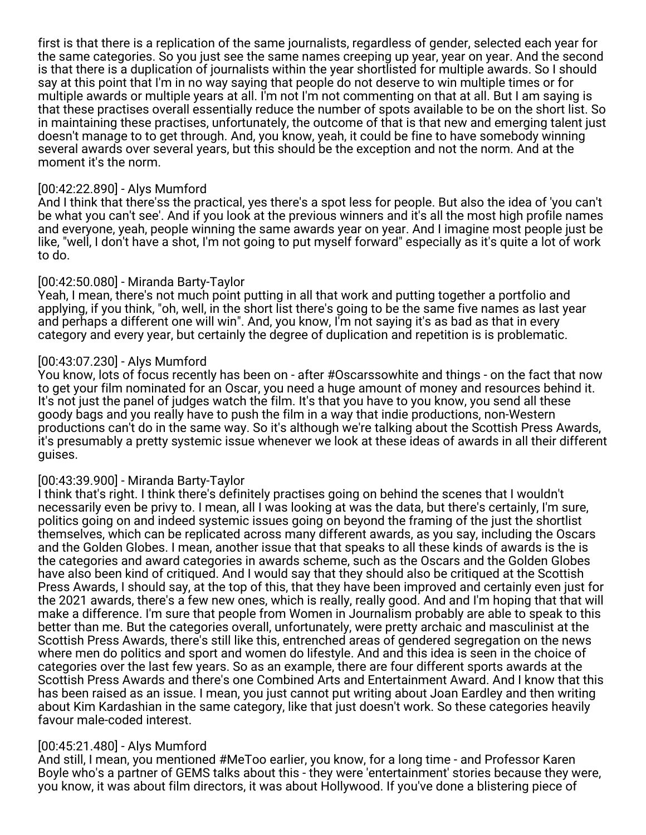first is that there is a replication of the same journalists, regardless of gender, selected each year for the same categories. So you just see the same names creeping up year, year on year. And the second is that there is a duplication of journalists within the year shortlisted for multiple awards. So I should say at this point that I'm in no way saying that people do not deserve to win multiple times or for multiple awards or multiple years at all. I'm not I'm not commenting on that at all. But I am saying is that these practises overall essentially reduce the number of spots available to be on the short list. So in maintaining these practises, unfortunately, the outcome of that is that new and emerging talent just doesn't manage to to get through. And, you know, yeah, it could be fine to have somebody winning several awards over several years, but this should be the exception and not the norm. And at the moment it's the norm.

#### [00:42:22.890] - Alys Mumford

And I think that there'ss the practical, yes there's a spot less for people. But also the idea of 'you can't be what you can't see'. And if you look at the previous winners and it's all the most high profile names and everyone, yeah, people winning the same awards year on year. And I imagine most people just be like, "well, I don't have a shot, I'm not going to put myself forward" especially as it's quite a lot of work to do.

## [00:42:50.080] - Miranda Barty-Taylor

Yeah, I mean, there's not much point putting in all that work and putting together a portfolio and applying, if you think, "oh, well, in the short list there's going to be the same five names as last year and perhaps a different one will win". And, you know, I'm not saying it's as bad as that in every category and every year, but certainly the degree of duplication and repetition is is problematic.

## [00:43:07.230] - Alys Mumford

You know, lots of focus recently has been on - after #Oscarssowhite and things - on the fact that now to get your film nominated for an Oscar, you need a huge amount of money and resources behind it. It's not just the panel of judges watch the film. It's that you have to you know, you send all these goody bags and you really have to push the film in a way that indie productions, non-Western productions can't do in the same way. So it's although we're talking about the Scottish Press Awards, it's presumably a pretty systemic issue whenever we look at these ideas of awards in all their different guises.

## [00:43:39.900] - Miranda Barty-Taylor

I think that's right. I think there's definitely practises going on behind the scenes that I wouldn't necessarily even be privy to. I mean, all I was looking at was the data, but there's certainly, I'm sure, politics going on and indeed systemic issues going on beyond the framing of the just the shortlist themselves, which can be replicated across many different awards, as you say, including the Oscars and the Golden Globes. I mean, another issue that that speaks to all these kinds of awards is the is the categories and award categories in awards scheme, such as the Oscars and the Golden Globes have also been kind of critiqued. And I would say that they should also be critiqued at the Scottish Press Awards, I should say, at the top of this, that they have been improved and certainly even just for the 2021 awards, there's a few new ones, which is really, really good. And and I'm hoping that that will make a difference. I'm sure that people from Women in Journalism probably are able to speak to this better than me. But the categories overall, unfortunately, were pretty archaic and masculinist at the Scottish Press Awards, there's still like this, entrenched areas of gendered segregation on the news where men do politics and sport and women do lifestyle. And and this idea is seen in the choice of categories over the last few years. So as an example, there are four different sports awards at the Scottish Press Awards and there's one Combined Arts and Entertainment Award. And I know that this has been raised as an issue. I mean, you just cannot put writing about Joan Eardley and then writing about Kim Kardashian in the same category, like that just doesn't work. So these categories heavily favour male-coded interest.

## [00:45:21.480] - Alys Mumford

And still, I mean, you mentioned #MeToo earlier, you know, for a long time - and Professor Karen Boyle who's a partner of GEMS talks about this - they were 'entertainment' stories because they were, you know, it was about film directors, it was about Hollywood. If you've done a blistering piece of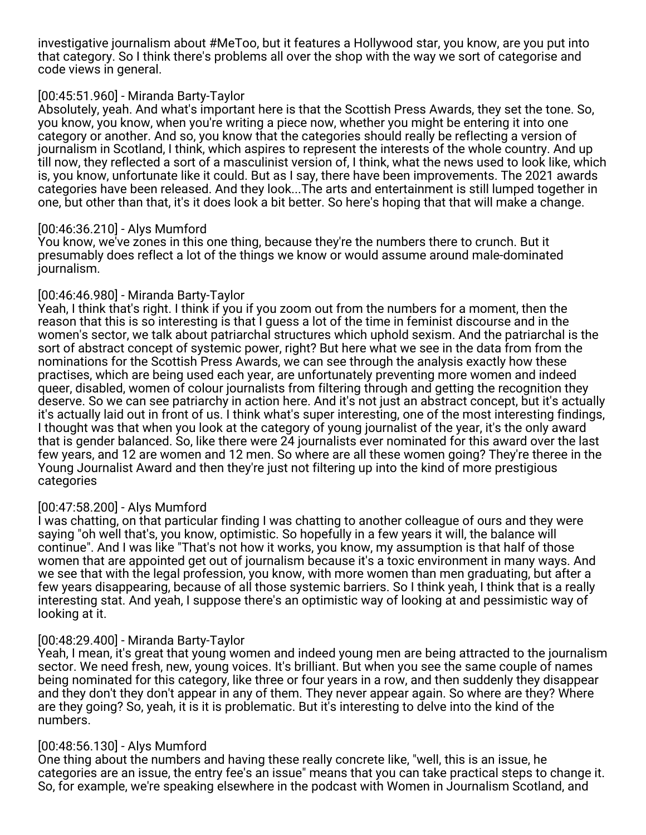investigative journalism about #MeToo, but it features a Hollywood star, you know, are you put into that category. So I think there's problems all over the shop with the way we sort of categorise and code views in general.

#### [00:45:51.960] - Miranda Barty-Taylor

Absolutely, yeah. And what's important here is that the Scottish Press Awards, they set the tone. So, you know, you know, when you're writing a piece now, whether you might be entering it into one category or another. And so, you know that the categories should really be reflecting a version of journalism in Scotland, I think, which aspires to represent the interests of the whole country. And up till now, they reflected a sort of a masculinist version of, I think, what the news used to look like, which is, you know, unfortunate like it could. But as I say, there have been improvements. The 2021 awards categories have been released. And they look...The arts and entertainment is still lumped together in one, but other than that, it's it does look a bit better. So here's hoping that that will make a change.

## [00:46:36.210] - Alys Mumford

You know, we've zones in this one thing, because they're the numbers there to crunch. But it presumably does reflect a lot of the things we know or would assume around male-dominated journalism.

## [00:46:46.980] - Miranda Barty-Taylor

Yeah, I think that's right. I think if you if you zoom out from the numbers for a moment, then the reason that this is so interesting is that I guess a lot of the time in feminist discourse and in the women's sector, we talk about patriarchal structures which uphold sexism. And the patriarchal is the sort of abstract concept of systemic power, right? But here what we see in the data from from the nominations for the Scottish Press Awards, we can see through the analysis exactly how these practises, which are being used each year, are unfortunately preventing more women and indeed queer, disabled, women of colour journalists from filtering through and getting the recognition they deserve. So we can see patriarchy in action here. And it's not just an abstract concept, but it's actually it's actually laid out in front of us. I think what's super interesting, one of the most interesting findings, I thought was that when you look at the category of young journalist of the year, it's the only award that is gender balanced. So, like there were 24 journalists ever nominated for this award over the last few years, and 12 are women and 12 men. So where are all these women going? They're theree in the Young Journalist Award and then they're just not filtering up into the kind of more prestigious categories

## [00:47:58.200] - Alys Mumford

I was chatting, on that particular finding I was chatting to another colleague of ours and they were saying "oh well that's, you know, optimistic. So hopefully in a few years it will, the balance will continue". And I was like "That's not how it works, you know, my assumption is that half of those women that are appointed get out of journalism because it's a toxic environment in many ways. And we see that with the legal profession, you know, with more women than men graduating, but after a few years disappearing, because of all those systemic barriers. So I think yeah, I think that is a really interesting stat. And yeah, I suppose there's an optimistic way of looking at and pessimistic way of looking at it.

#### [00:48:29.400] - Miranda Barty-Taylor

Yeah, I mean, it's great that young women and indeed young men are being attracted to the journalism sector. We need fresh, new, young voices. It's brilliant. But when you see the same couple of names being nominated for this category, like three or four years in a row, and then suddenly they disappear and they don't they don't appear in any of them. They never appear again. So where are they? Where are they going? So, yeah, it is it is problematic. But it's interesting to delve into the kind of the numbers.

#### [00:48:56.130] - Alys Mumford

One thing about the numbers and having these really concrete like, "well, this is an issue, he categories are an issue, the entry fee's an issue" means that you can take practical steps to change it. So, for example, we're speaking elsewhere in the podcast with Women in Journalism Scotland, and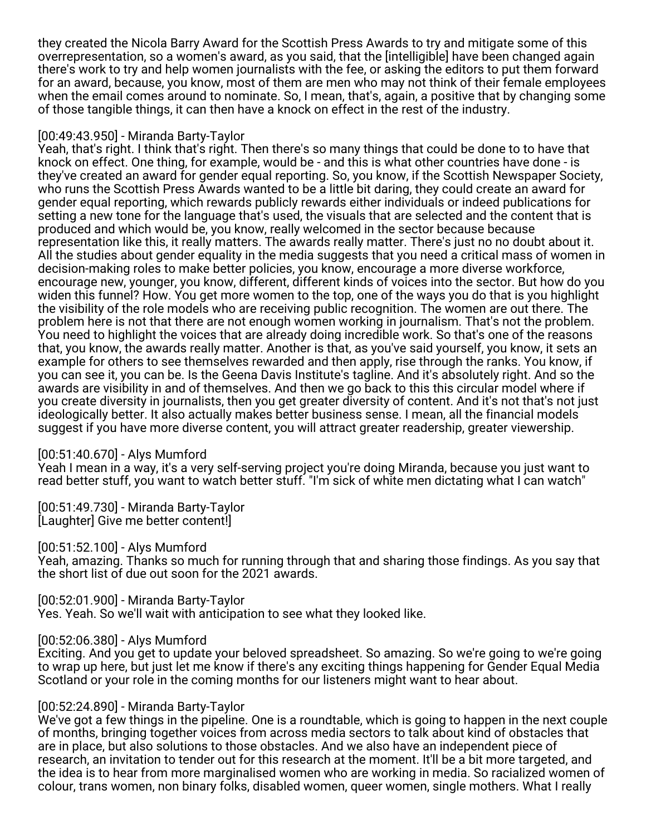they created the Nicola Barry Award for the Scottish Press Awards to try and mitigate some of this overrepresentation, so a women's award, as you said, that the [intelligible] have been changed again there's work to try and help women journalists with the fee, or asking the editors to put them forward for an award, because, you know, most of them are men who may not think of their female employees when the email comes around to nominate. So, I mean, that's, again, a positive that by changing some of those tangible things, it can then have a knock on effect in the rest of the industry.

#### [00:49:43.950] - Miranda Barty-Taylor

Yeah, that's right. I think that's right. Then there's so many things that could be done to to have that knock on effect. One thing, for example, would be - and this is what other countries have done - is they've created an award for gender equal reporting. So, you know, if the Scottish Newspaper Society, who runs the Scottish Press Awards wanted to be a little bit daring, they could create an award for gender equal reporting, which rewards publicly rewards either individuals or indeed publications for setting a new tone for the language that's used, the visuals that are selected and the content that is produced and which would be, you know, really welcomed in the sector because because representation like this, it really matters. The awards really matter. There's just no no doubt about it. All the studies about gender equality in the media suggests that you need a critical mass of women in decision-making roles to make better policies, you know, encourage a more diverse workforce, encourage new, younger, you know, different, different kinds of voices into the sector. But how do you widen this funnel? How. You get more women to the top, one of the ways you do that is you highlight the visibility of the role models who are receiving public recognition. The women are out there. The problem here is not that there are not enough women working in journalism. That's not the problem. You need to highlight the voices that are already doing incredible work. So that's one of the reasons that, you know, the awards really matter. Another is that, as you've said yourself, you know, it sets an example for others to see themselves rewarded and then apply, rise through the ranks. You know, if you can see it, you can be. Is the Geena Davis Institute's tagline. And it's absolutely right. And so the awards are visibility in and of themselves. And then we go back to this this circular model where if you create diversity in journalists, then you get greater diversity of content. And it's not that's not just ideologically better. It also actually makes better business sense. I mean, all the financial models suggest if you have more diverse content, you will attract greater readership, greater viewership.

#### [00:51:40.670] - Alys Mumford

Yeah I mean in a way, it's a very self-serving project you're doing Miranda, because you just want to read better stuff, you want to watch better stuff. "I'm sick of white men dictating what I can watch"

[00:51:49.730] - Miranda Barty-Taylor [Laughter] Give me better content!]

[00:51:52.100] - Alys Mumford

Yeah, amazing. Thanks so much for running through that and sharing those findings. As you say that the short list of due out soon for the 2021 awards.

[00:52:01.900] - Miranda Barty-Taylor

Yes. Yeah. So we'll wait with anticipation to see what they looked like.

#### [00:52:06.380] - Alys Mumford

Exciting. And you get to update your beloved spreadsheet. So amazing. So we're going to we're going to wrap up here, but just let me know if there's any exciting things happening for Gender Equal Media Scotland or your role in the coming months for our listeners might want to hear about.

## [00:52:24.890] - Miranda Barty-Taylor

We've got a few things in the pipeline. One is a roundtable, which is going to happen in the next couple of months, bringing together voices from across media sectors to talk about kind of obstacles that are in place, but also solutions to those obstacles. And we also have an independent piece of research, an invitation to tender out for this research at the moment. It'll be a bit more targeted, and the idea is to hear from more marginalised women who are working in media. So racialized women of colour, trans women, non binary folks, disabled women, queer women, single mothers. What I really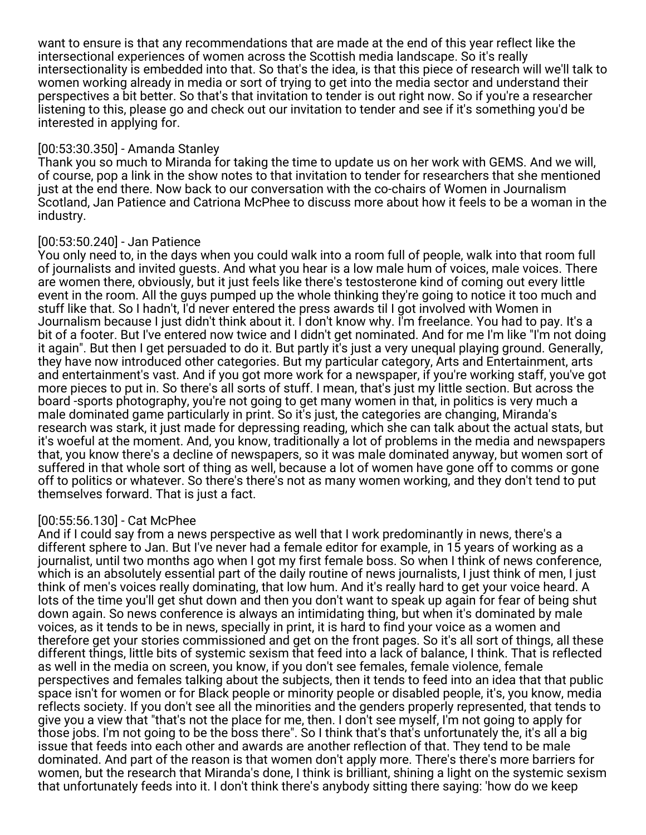want to ensure is that any recommendations that are made at the end of this year reflect like the intersectional experiences of women across the Scottish media landscape. So it's really intersectionality is embedded into that. So that's the idea, is that this piece of research will we'll talk to women working already in media or sort of trying to get into the media sector and understand their perspectives a bit better. So that's that invitation to tender is out right now. So if you're a researcher listening to this, please go and check out our invitation to tender and see if it's something you'd be interested in applying for.

## [00:53:30.350] - Amanda Stanley

Thank you so much to Miranda for taking the time to update us on her work with GEMS. And we will, of course, pop a link in the show notes to that invitation to tender for researchers that she mentioned just at the end there. Now back to our conversation with the co-chairs of Women in Journalism Scotland, Jan Patience and Catriona McPhee to discuss more about how it feels to be a woman in the industry.

## [00:53:50.240] - Jan Patience

You only need to, in the days when you could walk into a room full of people, walk into that room full of journalists and invited guests. And what you hear is a low male hum of voices, male voices. There are women there, obviously, but it just feels like there's testosterone kind of coming out every little event in the room. All the guys pumped up the whole thinking they're going to notice it too much and stuff like that. So I hadn't, I'd never entered the press awards til I got involved with Women in Journalism because I just didn't think about it. I don't know why. I'm freelance. You had to pay. It's a bit of a footer. But I've entered now twice and I didn't get nominated. And for me I'm like "I'm not doing it again". But then I get persuaded to do it. But partly it's just a very unequal playing ground. Generally, they have now introduced other categories. But my particular category, Arts and Entertainment, arts and entertainment's vast. And if you got more work for a newspaper, if you're working staff, you've got more pieces to put in. So there's all sorts of stuff. I mean, that's just my little section. But across the board -sports photography, you're not going to get many women in that, in politics is very much a male dominated game particularly in print. So it's just, the categories are changing, Miranda's research was stark, it just made for depressing reading, which she can talk about the actual stats, but it's woeful at the moment. And, you know, traditionally a lot of problems in the media and newspapers that, you know there's a decline of newspapers, so it was male dominated anyway, but women sort of suffered in that whole sort of thing as well, because a lot of women have gone off to comms or gone off to politics or whatever. So there's there's not as many women working, and they don't tend to put themselves forward. That is just a fact.

## [00:55:56.130] - Cat McPhee

And if I could say from a news perspective as well that I work predominantly in news, there's a different sphere to Jan. But I've never had a female editor for example, in 15 years of working as a journalist, until two months ago when I got my first female boss. So when I think of news conference, which is an absolutely essential part of the daily routine of news journalists, I just think of men, I just think of men's voices really dominating, that low hum. And it's really hard to get your voice heard. A lots of the time you'll get shut down and then you don't want to speak up again for fear of being shut down again. So news conference is always an intimidating thing, but when it's dominated by male voices, as it tends to be in news, specially in print, it is hard to find your voice as a women and therefore get your stories commissioned and get on the front pages. So it's all sort of things, all these different things, little bits of systemic sexism that feed into a lack of balance, I think. That is reflected as well in the media on screen, you know, if you don't see females, female violence, female perspectives and females talking about the subjects, then it tends to feed into an idea that that public space isn't for women or for Black people or minority people or disabled people, it's, you know, media reflects society. If you don't see all the minorities and the genders properly represented, that tends to give you a view that "that's not the place for me, then. I don't see myself, I'm not going to apply for those jobs. I'm not going to be the boss there". So I think that's that's unfortunately the, it's all a big issue that feeds into each other and awards are another reflection of that. They tend to be male dominated. And part of the reason is that women don't apply more. There's there's more barriers for women, but the research that Miranda's done, I think is brilliant, shining a light on the systemic sexism that unfortunately feeds into it. I don't think there's anybody sitting there saying: 'how do we keep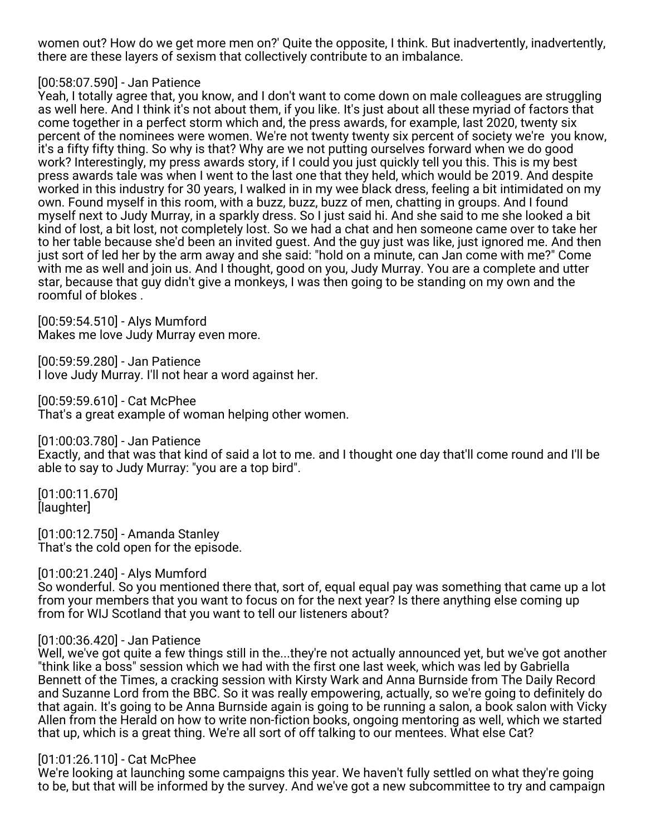women out? How do we get more men on?' Quite the opposite, I think. But inadvertently, inadvertently, there are these layers of sexism that collectively contribute to an imbalance.

## [00:58:07.590] - Jan Patience

Yeah, I totally agree that, you know, and I don't want to come down on male colleagues are struggling as well here. And I think it's not about them, if you like. It's just about all these myriad of factors that come together in a perfect storm which and, the press awards, for example, last 2020, twenty six percent of the nominees were women. We're not twenty twenty six percent of society we're you know, it's a fifty fifty thing. So why is that? Why are we not putting ourselves forward when we do good work? Interestingly, my press awards story, if I could you just quickly tell you this. This is my best press awards tale was when I went to the last one that they held, which would be 2019. And despite worked in this industry for 30 years, I walked in in my wee black dress, feeling a bit intimidated on my own. Found myself in this room, with a buzz, buzz, buzz of men, chatting in groups. And I found myself next to Judy Murray, in a sparkly dress. So I just said hi. And she said to me she looked a bit kind of lost, a bit lost, not completely lost. So we had a chat and hen someone came over to take her to her table because she'd been an invited guest. And the guy just was like, just ignored me. And then just sort of led her by the arm away and she said: "hold on a minute, can Jan come with me?" Come with me as well and join us. And I thought, good on you, Judy Murray. You are a complete and utter star, because that guy didn't give a monkeys, I was then going to be standing on my own and the roomful of blokes .

[00:59:54.510] - Alys Mumford Makes me love Judy Murray even more.

[00:59:59.280] - Jan Patience I love Judy Murray. I'll not hear a word against her.

[00:59:59.610] - Cat McPhee That's a great example of woman helping other women.

[01:00:03.780] - Jan Patience

Exactly, and that was that kind of said a lot to me. and I thought one day that'll come round and I'll be able to say to Judy Murray: "you are a top bird".

[01:00:11.670] [laughter]

[01:00:12.750] - Amanda Stanley That's the cold open for the episode.

[01:00:21.240] - Alys Mumford

So wonderful. So you mentioned there that, sort of, equal equal pay was something that came up a lot from your members that you want to focus on for the next year? Is there anything else coming up from for WIJ Scotland that you want to tell our listeners about?

## [01:00:36.420] - Jan Patience

Well, we've got quite a few things still in the...they're not actually announced yet, but we've got another "think like a boss" session which we had with the first one last week, which was led by Gabriella Bennett of the Times, a cracking session with Kirsty Wark and Anna Burnside from The Daily Record and Suzanne Lord from the BBC. So it was really empowering, actually, so we're going to definitely do that again. It's going to be Anna Burnside again is going to be running a salon, a book salon with Vicky Allen from the Herald on how to write non-fiction books, ongoing mentoring as well, which we started that up, which is a great thing. We're all sort of off talking to our mentees. What else Cat?

#### [01:01:26.110] - Cat McPhee

We're looking at launching some campaigns this year. We haven't fully settled on what they're going to be, but that will be informed by the survey. And we've got a new subcommittee to try and campaign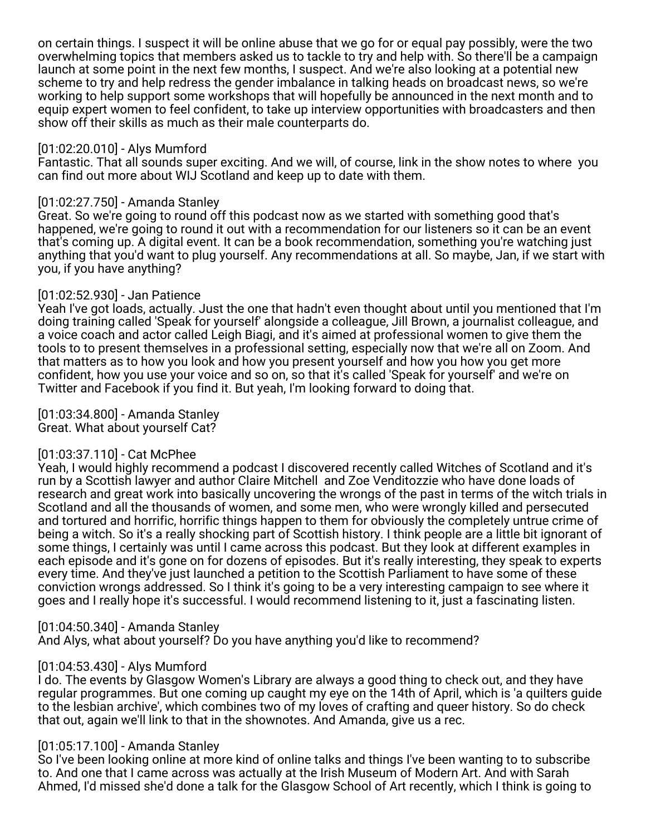on certain things. I suspect it will be online abuse that we go for or equal pay possibly, were the two overwhelming topics that members asked us to tackle to try and help with. So there'll be a campaign launch at some point in the next few months, I suspect. And we're also looking at a potential new scheme to try and help redress the gender imbalance in talking heads on broadcast news, so we're working to help support some workshops that will hopefully be announced in the next month and to equip expert women to feel confident, to take up interview opportunities with broadcasters and then show off their skills as much as their male counterparts do.

#### [01:02:20.010] - Alys Mumford

Fantastic. That all sounds super exciting. And we will, of course, link in the show notes to where you can find out more about WIJ Scotland and keep up to date with them.

#### [01:02:27.750] - Amanda Stanley

Great. So we're going to round off this podcast now as we started with something good that's happened, we're going to round it out with a recommendation for our listeners so it can be an event that's coming up. A digital event. It can be a book recommendation, something you're watching just anything that you'd want to plug yourself. Any recommendations at all. So maybe, Jan, if we start with you, if you have anything?

## [01:02:52.930] - Jan Patience

Yeah I've got loads, actually. Just the one that hadn't even thought about until you mentioned that I'm doing training called 'Speak for yourself' alongside a colleague, Jill Brown, a journalist colleague, and a voice coach and actor called Leigh Biagi, and it's aimed at professional women to give them the tools to to present themselves in a professional setting, especially now that we're all on Zoom. And that matters as to how you look and how you present yourself and how you how you get more confident, how you use your voice and so on, so that it's called 'Speak for yourself' and we're on Twitter and Facebook if you find it. But yeah, I'm looking forward to doing that.

[01:03:34.800] - Amanda Stanley Great. What about yourself Cat?

## [01:03:37.110] - Cat McPhee

Yeah, I would highly recommend a podcast I discovered recently called Witches of Scotland and it's run by a Scottish lawyer and author Claire Mitchell and Zoe Venditozzie who have done loads of research and great work into basically uncovering the wrongs of the past in terms of the witch trials in Scotland and all the thousands of women, and some men, who were wrongly killed and persecuted and tortured and horrific, horrific things happen to them for obviously the completely untrue crime of being a witch. So it's a really shocking part of Scottish history. I think people are a little bit ignorant of some things, I certainly was until I came across this podcast. But they look at different examples in each episode and it's gone on for dozens of episodes. But it's really interesting, they speak to experts every time. And they've just launched a petition to the Scottish Parliament to have some of these conviction wrongs addressed. So I think it's going to be a very interesting campaign to see where it goes and I really hope it's successful. I would recommend listening to it, just a fascinating listen.

#### [01:04:50.340] - Amanda Stanley

And Alys, what about yourself? Do you have anything you'd like to recommend?

## [01:04:53.430] - Alys Mumford

I do. The events by Glasgow Women's Library are always a good thing to check out, and they have regular programmes. But one coming up caught my eye on the 14th of April, which is 'a quilters guide to the lesbian archive', which combines two of my loves of crafting and queer history. So do check that out, again we'll link to that in the shownotes. And Amanda, give us a rec.

## [01:05:17.100] - Amanda Stanley

So I've been looking online at more kind of online talks and things I've been wanting to to subscribe to. And one that I came across was actually at the Irish Museum of Modern Art. And with Sarah Ahmed, I'd missed she'd done a talk for the Glasgow School of Art recently, which I think is going to